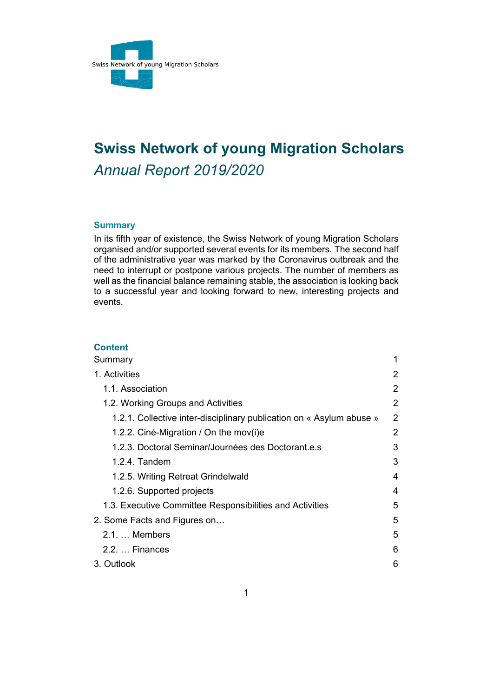

# **Swiss Network of young Migration Scholars**  *Annual Report 2019/2020*

### **Summary**

In its fifth year of existence, the Swiss Network of young Migration Scholars organised and/or supported several events for its members. The second half of the administrative year was marked by the Coronavirus outbreak and the need to interrupt or postpone various projects. The number of members as well as the financial balance remaining stable, the association is looking back to a successful year and looking forward to new, interesting projects and events.

## **Content**

| Summary                                                              | 1 |
|----------------------------------------------------------------------|---|
| 1. Activities                                                        | 2 |
| 1.1. Association                                                     | 2 |
| 1.2. Working Groups and Activities                                   | 2 |
| 1.2.1. Collective inter-disciplinary publication on « Asylum abuse » | 2 |
| 1.2.2. Ciné-Migration / On the mov(i)e                               | 2 |
| 1.2.3. Doctoral Seminar/Journées des Doctorant.e.s                   | 3 |
| $1.2.4.$ Tandem                                                      | 3 |
| 1.2.5. Writing Retreat Grindelwald                                   | 4 |
| 1.2.6. Supported projects                                            | 4 |
| 1.3. Executive Committee Responsibilities and Activities             | 5 |
| 2. Some Facts and Figures on                                         | 5 |
| $2.1 \ldots$ Members                                                 | 5 |
| $2.2. \ldots$ Finances                                               | 6 |
| 3. Outlook                                                           | 6 |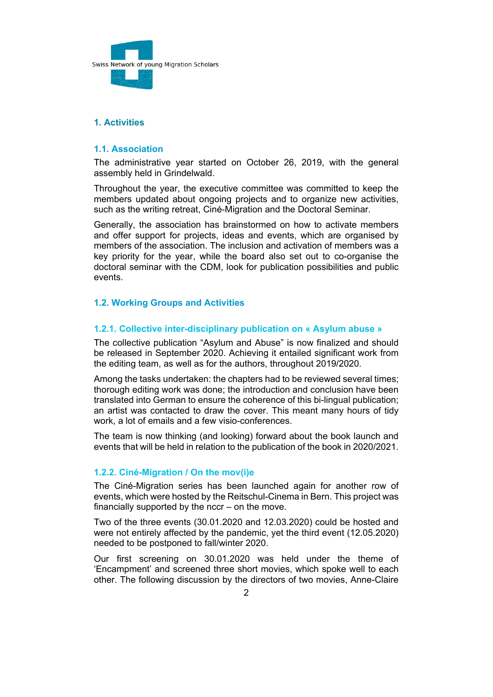

# **1. Activities**

#### **1.1. Association**

The administrative year started on October 26, 2019, with the general assembly held in Grindelwald.

Throughout the year, the executive committee was committed to keep the members updated about ongoing projects and to organize new activities, such as the writing retreat, Ciné-Migration and the Doctoral Seminar.

Generally, the association has brainstormed on how to activate members and offer support for projects, ideas and events, which are organised by members of the association. The inclusion and activation of members was a key priority for the year, while the board also set out to co-organise the doctoral seminar with the CDM, look for publication possibilities and public events.

#### **1.2. Working Groups and Activities**

#### **1.2.1. Collective inter-disciplinary publication on « Asylum abuse »**

The collective publication "Asylum and Abuse" is now finalized and should be released in September 2020. Achieving it entailed significant work from the editing team, as well as for the authors, throughout 2019/2020.

Among the tasks undertaken: the chapters had to be reviewed several times; thorough editing work was done; the introduction and conclusion have been translated into German to ensure the coherence of this bi-lingual publication; an artist was contacted to draw the cover. This meant many hours of tidy work, a lot of emails and a few visio-conferences.

The team is now thinking (and looking) forward about the book launch and events that will be held in relation to the publication of the book in 2020/2021.

#### **1.2.2. Ciné-Migration / On the mov(i)e**

The Ciné-Migration series has been launched again for another row of events, which were hosted by the Reitschul-Cinema in Bern. This project was financially supported by the nccr – on the move.

Two of the three events (30.01.2020 and 12.03.2020) could be hosted and were not entirely affected by the pandemic, yet the third event (12.05.2020) needed to be postponed to fall/winter 2020.

Our first screening on 30.01.2020 was held under the theme of 'Encampment' and screened three short movies, which spoke well to each other. The following discussion by the directors of two movies, Anne-Claire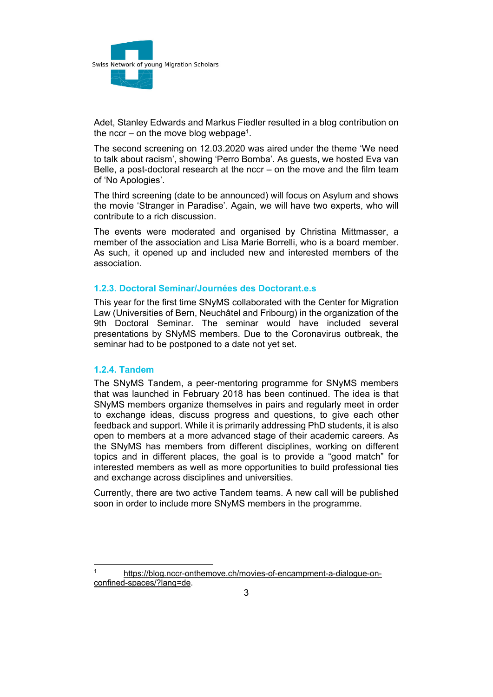

Adet, Stanley Edwards and Markus Fiedler resulted in a blog contribution on the nccr – on the move blog webpage<sup>1</sup>.

The second screening on 12.03.2020 was aired under the theme 'We need to talk about racism', showing 'Perro Bomba'. As guests, we hosted Eva van Belle, a post-doctoral research at the nccr – on the move and the film team of 'No Apologies'.

The third screening (date to be announced) will focus on Asylum and shows the movie 'Stranger in Paradise'. Again, we will have two experts, who will contribute to a rich discussion.

The events were moderated and organised by Christina Mittmasser, a member of the association and Lisa Marie Borrelli, who is a board member. As such, it opened up and included new and interested members of the association.

## **1.2.3. Doctoral Seminar/Journées des Doctorant.e.s**

This year for the first time SNyMS collaborated with the Center for Migration Law (Universities of Bern, Neuchâtel and Fribourg) in the organization of the 9th Doctoral Seminar. The seminar would have included several presentations by SNyMS members. Due to the Coronavirus outbreak, the seminar had to be postponed to a date not yet set.

#### **1.2.4. Tandem**

 $\overline{a}$ 

The SNyMS Tandem, a peer-mentoring programme for SNyMS members that was launched in February 2018 has been continued. The idea is that SNyMS members organize themselves in pairs and regularly meet in order to exchange ideas, discuss progress and questions, to give each other feedback and support. While it is primarily addressing PhD students, it is also open to members at a more advanced stage of their academic careers. As the SNyMS has members from different disciplines, working on different topics and in different places, the goal is to provide a "good match" for interested members as well as more opportunities to build professional ties and exchange across disciplines and universities.

Currently, there are two active Tandem teams. A new call will be published soon in order to include more SNyMS members in the programme.

https://blog.nccr-onthemove.ch/movies-of-encampment-a-dialogue-onconfined-spaces/?lang=de.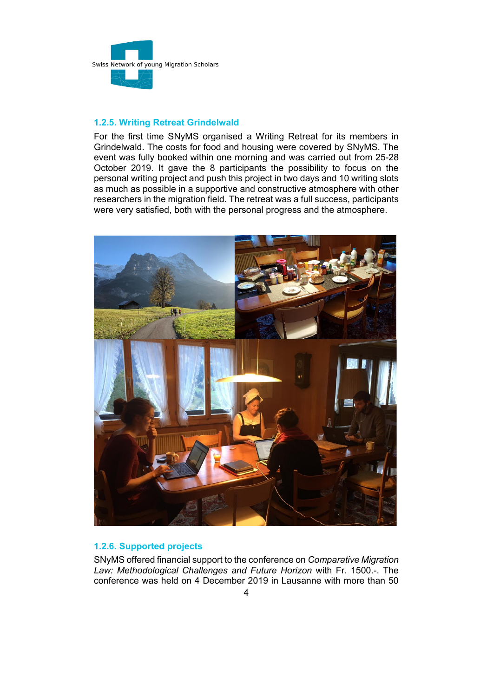

# **1.2.5. Writing Retreat Grindelwald**

For the first time SNyMS organised a Writing Retreat for its members in Grindelwald. The costs for food and housing were covered by SNyMS. The event was fully booked within one morning and was carried out from 25-28 October 2019. It gave the 8 participants the possibility to focus on the personal writing project and push this project in two days and 10 writing slots as much as possible in a supportive and constructive atmosphere with other researchers in the migration field. The retreat was a full success, participants were very satisfied, both with the personal progress and the atmosphere.



# **1.2.6. Supported projects**

SNyMS offered financial support to the conference on *Comparative Migration Law: Methodological Challenges and Future Horizon* with Fr. 1500.-. The conference was held on 4 December 2019 in Lausanne with more than 50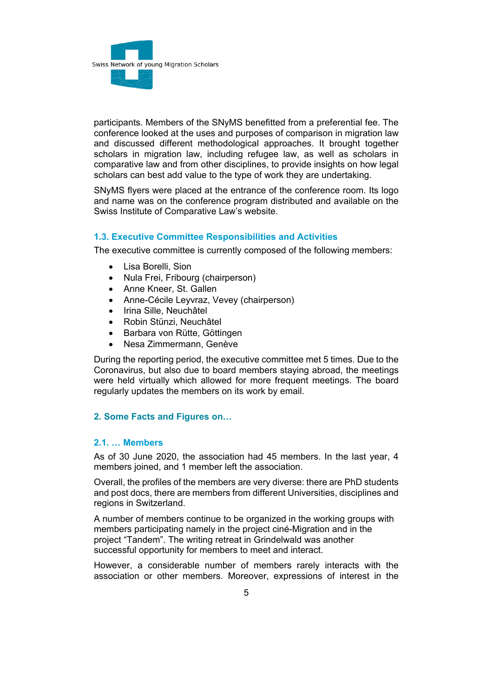

participants. Members of the SNyMS benefitted from a preferential fee. The conference looked at the uses and purposes of comparison in migration law and discussed different methodological approaches. It brought together scholars in migration law, including refugee law, as well as scholars in comparative law and from other disciplines, to provide insights on how legal scholars can best add value to the type of work they are undertaking.

SNyMS flyers were placed at the entrance of the conference room. Its logo and name was on the conference program distributed and available on the Swiss Institute of Comparative Law's website.

## **1.3. Executive Committee Responsibilities and Activities**

The executive committee is currently composed of the following members:

- Lisa Borelli, Sion
- Nula Frei, Fribourg (chairperson)
- Anne Kneer, St. Gallen
- Anne-Cécile Leyvraz, Vevey (chairperson)
- Irina Sille, Neuchâtel
- Robin Stünzi, Neuchâtel
- Barbara von Rütte, Göttingen
- Nesa Zimmermann, Genève

During the reporting period, the executive committee met 5 times. Due to the Coronavirus, but also due to board members staying abroad, the meetings were held virtually which allowed for more frequent meetings. The board regularly updates the members on its work by email.

#### **2. Some Facts and Figures on…**

## **2.1. … Members**

As of 30 June 2020, the association had 45 members. In the last year, 4 members joined, and 1 member left the association.

Overall, the profiles of the members are very diverse: there are PhD students and post docs, there are members from different Universities, disciplines and regions in Switzerland.

A number of members continue to be organized in the working groups with members participating namely in the project ciné-Migration and in the project "Tandem". The writing retreat in Grindelwald was another successful opportunity for members to meet and interact.

However, a considerable number of members rarely interacts with the association or other members. Moreover, expressions of interest in the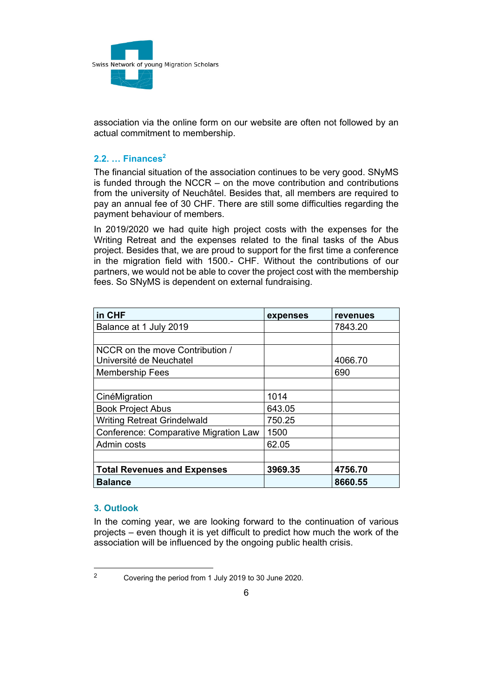

association via the online form on our website are often not followed by an actual commitment to membership.

# **2.2. … Finances2**

The financial situation of the association continues to be very good. SNyMS is funded through the NCCR – on the move contribution and contributions from the university of Neuchâtel. Besides that, all members are required to pay an annual fee of 30 CHF. There are still some difficulties regarding the payment behaviour of members.

In 2019/2020 we had quite high project costs with the expenses for the Writing Retreat and the expenses related to the final tasks of the Abus project. Besides that, we are proud to support for the first time a conference in the migration field with 1500.- CHF. Without the contributions of our partners, we would not be able to cover the project cost with the membership fees. So SNyMS is dependent on external fundraising.

| in CHF                                       | expenses | revenues |
|----------------------------------------------|----------|----------|
| Balance at 1 July 2019                       |          | 7843.20  |
|                                              |          |          |
| NCCR on the move Contribution /              |          |          |
| Université de Neuchatel                      |          | 4066.70  |
| <b>Membership Fees</b>                       |          | 690      |
|                                              |          |          |
| CinéMigration                                | 1014     |          |
| <b>Book Project Abus</b>                     | 643.05   |          |
| <b>Writing Retreat Grindelwald</b>           | 750.25   |          |
| <b>Conference: Comparative Migration Law</b> | 1500     |          |
| Admin costs                                  | 62.05    |          |
|                                              |          |          |
| <b>Total Revenues and Expenses</b>           | 3969.35  | 4756.70  |
| <b>Balance</b>                               |          | 8660.55  |

#### **3. Outlook**

In the coming year, we are looking forward to the continuation of various projects – even though it is yet difficult to predict how much the work of the association will be influenced by the ongoing public health crisis.

<sup>2</sup> Covering the period from 1 July 2019 to 30 June 2020.